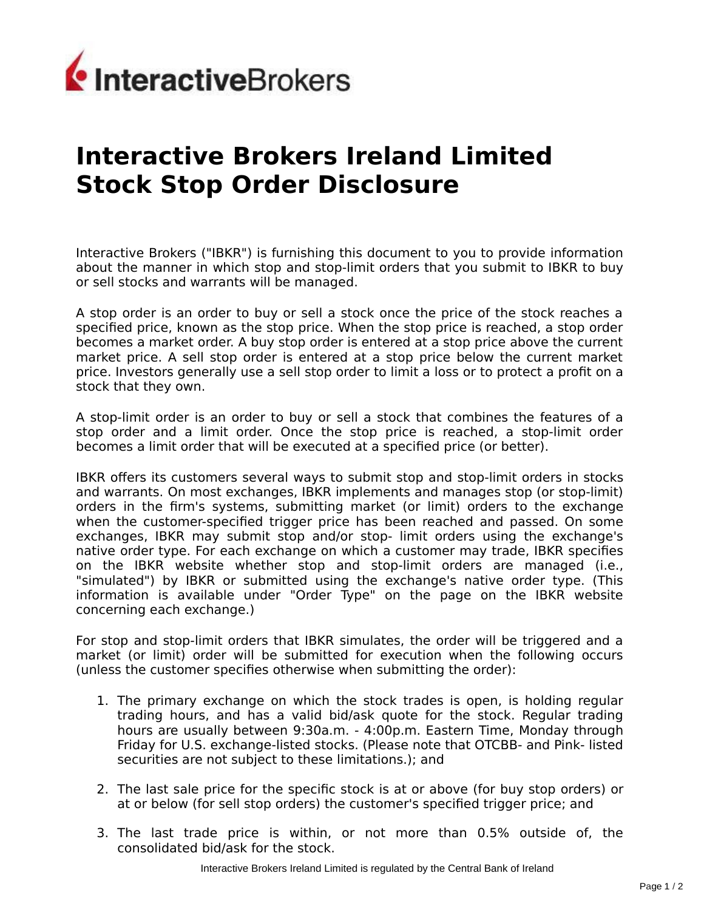

## **Interactive Brokers Ireland Limited Stock Stop Order Disclosure**

Interactive Brokers ("IBKR") is furnishing this document to you to provide information about the manner in which stop and stop-limit orders that you submit to IBKR to buy or sell stocks and warrants will be managed.

A stop order is an order to buy or sell a stock once the price of the stock reaches a specified price, known as the stop price. When the stop price is reached, a stop order becomes a market order. A buy stop order is entered at a stop price above the current market price. A sell stop order is entered at a stop price below the current market price. Investors generally use a sell stop order to limit a loss or to protect a profit on a stock that they own.

A stop-limit order is an order to buy or sell a stock that combines the features of a stop order and a limit order. Once the stop price is reached, a stop-limit order becomes a limit order that will be executed at a specified price (or better).

IBKR offers its customers several ways to submit stop and stop-limit orders in stocks and warrants. On most exchanges, IBKR implements and manages stop (or stop-limit) orders in the firm's systems, submitting market (or limit) orders to the exchange when the customer-specified trigger price has been reached and passed. On some exchanges, IBKR may submit stop and/or stop- limit orders using the exchange's native order type. For each exchange on which a customer may trade, IBKR specifies on the IBKR website whether stop and stop-limit orders are managed (i.e., "simulated") by IBKR or submitted using the exchange's native order type. (This information is available under "Order Type" on the page on the IBKR website concerning each exchange.)

For stop and stop-limit orders that IBKR simulates, the order will be triggered and a market (or limit) order will be submitted for execution when the following occurs (unless the customer specifies otherwise when submitting the order):

- 1. The primary exchange on which the stock trades is open, is holding regular trading hours, and has a valid bid/ask quote for the stock. Regular trading hours are usually between 9:30a.m. - 4:00p.m. Eastern Time, Monday through Friday for U.S. exchange-listed stocks. (Please note that OTCBB- and Pink- listed securities are not subject to these limitations.); and
- 2. The last sale price for the specific stock is at or above (for buy stop orders) or at or below (for sell stop orders) the customer's specified trigger price; and
- 3. The last trade price is within, or not more than 0.5% outside of, the consolidated bid/ask for the stock.